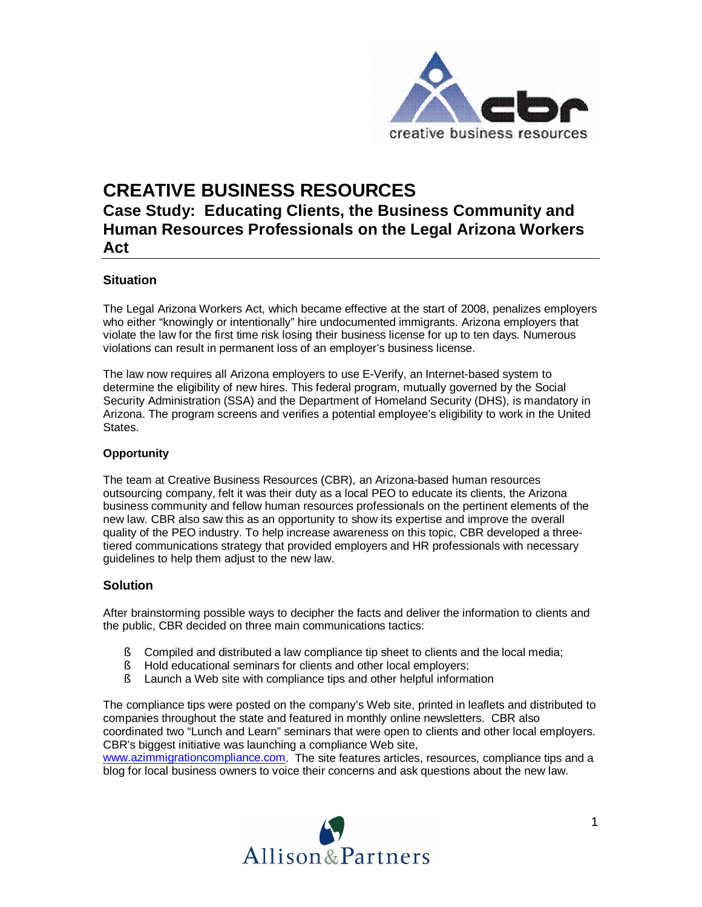

# **CREATIVE BUSINESS RESOURCES**

# **Case Study: Educating Clients, the Business Community and Human Resources Professionals on the Legal Arizona Workers Act**

### **Situation**

The Legal Arizona Workers Act, which became effective at the start of 2008, penalizes employers who either "knowingly or intentionally" hire undocumented immigrants. Arizona employers that violate the law for the first time risk losing their business license for up to ten days. Numerous violations can result in permanent loss of an employer's business license.

The law now requires all Arizona employers to use E-Verify, an Internet-based system to determine the eligibility of new hires. This federal program, mutually governed by the Social Security Administration (SSA) and the Department of Homeland Security (DHS), is mandatory in Arizona. The program screens and verifies a potential employee's eligibility to work in the United States.

#### **Opportunity**

The team at Creative Business Resources (CBR), an Arizona-based human resources outsourcing company, felt it was their duty as a local PEO to educate its clients, the Arizona business community and fellow human resources professionals on the pertinent elements of the new law. CBR also saw this as an opportunity to show its expertise and improve the overall quality of the PEO industry. To help increase awareness on this topic, CBR developed a threetiered communications strategy that provided employers and HR professionals with necessary guidelines to help them adjust to the new law.

#### **Solution**

After brainstorming possible ways to decipher the facts and deliver the information to clients and the public, CBR decided on three main communications tactics:

- § Compiled and distributed a law compliance tip sheet to clients and the local media;
- § Hold educational seminars for clients and other local employers;
- § Launch a Web site with compliance tips and other helpful information

The compliance tips were posted on the company's Web site, printed in leaflets and distributed to companies throughout the state and featured in monthly online newsletters. CBR also coordinated two "Lunch and Learn" seminars that were open to clients and other local employers. CBR's biggest initiative was launching a compliance Web site,

[www.azimmigrationcompliance.com.](http://www.azimmigrationcompliance.com) The site features articles, resources, compliance tips and a blog for local business owners to voice their concerns and ask questions about the new law.